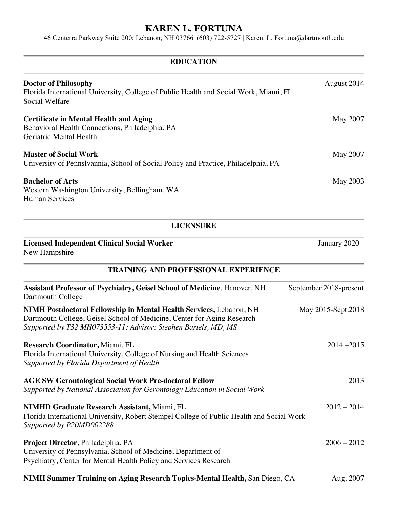46 Centerra Parkway Suite 200; Lebanon, NH 03766| (603) 722-5727 | Karen. L. Fortuna@dartmouth.edu

| <b>EDUCATION</b>                                                                                                                                                                                                 |                        |
|------------------------------------------------------------------------------------------------------------------------------------------------------------------------------------------------------------------|------------------------|
| <b>Doctor of Philosophy</b><br>Florida International University, College of Public Health and Social Work, Miami, FL<br>Social Welfare                                                                           | August 2014            |
| <b>Certificate in Mental Health and Aging</b><br>Behavioral Health Connections, Philadelphia, PA<br>Geriatric Mental Health                                                                                      | May 2007               |
| <b>Master of Social Work</b><br>University of Pennslvannia, School of Social Policy and Practice, Philadelphia, PA                                                                                               | May 2007               |
| <b>Bachelor of Arts</b><br>Western Washington University, Bellingham, WA<br><b>Human Services</b>                                                                                                                | May 2003               |
| <b>LICENSURE</b>                                                                                                                                                                                                 |                        |
| <b>Licensed Independent Clinical Social Worker</b><br>New Hampshire                                                                                                                                              | January 2020           |
| <b>TRAINING AND PROFESSIONAL EXPERIENCE</b>                                                                                                                                                                      |                        |
| <b>Assistant Professor of Psychiatry, Geisel School of Medicine, Hanover, NH</b><br>Dartmouth College                                                                                                            | September 2018-present |
| NIMH Postdoctoral Fellowship in Mental Health Services, Lebanon, NH<br>Dartmouth College, Geisel School of Medicine, Center for Aging Research<br>Supported by T32 MH073553-11; Advisor: Stephen Bartels, MD, MS | May 2015-Sept.2018     |
| Research Coordinator, Miami, FL<br>Florida International University, College of Nursing and Health Sciences<br>Supported by Florida Department of Health                                                         | $2014 - 2015$          |
| <b>AGE SW Gerontological Social Work Pre-doctoral Fellow</b><br>Supported by National Association for Gerontology Education in Social Work                                                                       | 2013                   |
| <b>NIMHD Graduate Research Assistant, Miami, FL</b><br>Florida International University, Robert Stempel College of Public Health and Social Work<br>Supported by P20MD002288                                     | $2012 - 2014$          |
| Project Director, Philadelphia, PA<br>University of Pennsylvania, School of Medicine, Department of<br>Psychiatry, Center for Mental Health Policy and Services Research                                         | $2006 - 2012$          |

**NIMH Summer Training on Aging Research Topics-Mental Health, San Diego, CA** Aug. 2007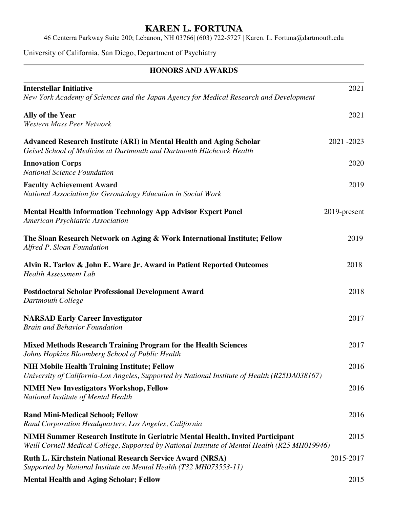46 Centerra Parkway Suite 200; Lebanon, NH 03766| (603) 722-5727 | Karen. L. Fortuna@dartmouth.edu

University of California, San Diego, Department of Psychiatry

#### **HONORS AND AWARDS**

| <b>Interstellar Initiative</b><br>New York Academy of Sciences and the Japan Agency for Medical Research and Development                                                         | 2021         |
|----------------------------------------------------------------------------------------------------------------------------------------------------------------------------------|--------------|
| <b>Ally of the Year</b><br><b>Western Mass Peer Network</b>                                                                                                                      | 2021         |
| <b>Advanced Research Institute (ARI) in Mental Health and Aging Scholar</b><br>Geisel School of Medicine at Dartmouth and Dartmouth Hitchcock Health                             | 2021-2023    |
| <b>Innovation Corps</b><br><b>National Science Foundation</b>                                                                                                                    | 2020         |
| <b>Faculty Achievement Award</b><br>National Association for Gerontology Education in Social Work                                                                                | 2019         |
| <b>Mental Health Information Technology App Advisor Expert Panel</b><br>American Psychiatric Association                                                                         | 2019-present |
| The Sloan Research Network on Aging & Work International Institute; Fellow<br>Alfred P. Sloan Foundation                                                                         | 2019         |
| Alvin R. Tarlov & John E. Ware Jr. Award in Patient Reported Outcomes<br><b>Health Assessment Lab</b>                                                                            | 2018         |
| <b>Postdoctoral Scholar Professional Development Award</b><br>Dartmouth College                                                                                                  | 2018         |
| <b>NARSAD Early Career Investigator</b><br><b>Brain and Behavior Foundation</b>                                                                                                  | 2017         |
| Mixed Methods Research Training Program for the Health Sciences<br>Johns Hopkins Bloomberg School of Public Health                                                               | 2017         |
| <b>NIH Mobile Health Training Institute; Fellow</b><br>University of California-Los Angeles, Supported by National Institute of Health (R25DA038167)                             | 2016         |
| <b>NIMH New Investigators Workshop, Fellow</b><br>National Institute of Mental Health                                                                                            | 2016         |
| <b>Rand Mini-Medical School; Fellow</b><br>Rand Corporation Headquarters, Los Angeles, California                                                                                | 2016         |
| NIMH Summer Research Institute in Geriatric Mental Health, Invited Participant<br>Weill Cornell Medical College, Supported by National Institute of Mental Health (R25 MH019946) | 2015         |
| <b>Ruth L. Kirchstein National Research Service Award (NRSA)</b><br>Supported by National Institute on Mental Health (T32 MH073553-11)                                           | 2015-2017    |
| <b>Mental Health and Aging Scholar; Fellow</b>                                                                                                                                   | 2015         |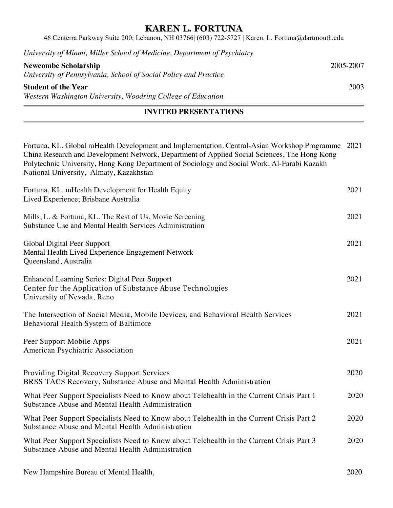46 Centerra Parkway Suite 200; Lebanon, NH 03766| (603) 722-5727 | Karen. L. Fortuna@dartmouth.edu

|  | University of Miami, Miller School of Medicine, Department of Psychiatry |  |  |
|--|--------------------------------------------------------------------------|--|--|
|--|--------------------------------------------------------------------------|--|--|

| <b>Newcombe Scholarship</b>                                      | 2005-2007 |
|------------------------------------------------------------------|-----------|
| University of Pennsylvania, School of Social Policy and Practice |           |
| <b>Student of the Year</b>                                       | 2003      |
| Western Washington University, Woodring College of Education     |           |

#### **INVITED PRESENTATIONS**

| Fortuna, KL. Global mHealth Development and Implementation. Central-Asian Workshop Programme 2021<br>China Research and Development Network, Department of Applied Social Sciences, The Hong Kong<br>Polytechnic University, Hong Kong Department of Sociology and Social Work, Al-Farabi Kazakh<br>National University, Almaty, Kazakhstan |      |
|---------------------------------------------------------------------------------------------------------------------------------------------------------------------------------------------------------------------------------------------------------------------------------------------------------------------------------------------|------|
| Fortuna, KL. mHealth Development for Health Equity<br>Lived Experience; Brisbane Australia                                                                                                                                                                                                                                                  | 2021 |
| Mills, L. & Fortuna, KL. The Rest of Us, Movie Screening<br>Substance Use and Mental Health Services Administration                                                                                                                                                                                                                         | 2021 |
| Global Digital Peer Support<br>Mental Health Lived Experience Engagement Network<br>Queensland, Australia                                                                                                                                                                                                                                   | 2021 |
| <b>Enhanced Learning Series: Digital Peer Support</b><br>Center for the Application of Substance Abuse Technologies<br>University of Nevada, Reno                                                                                                                                                                                           | 2021 |
| The Intersection of Social Media, Mobile Devices, and Behavioral Health Services<br>Behavioral Health System of Baltimore                                                                                                                                                                                                                   | 2021 |
| Peer Support Mobile Apps<br>American Psychiatric Association                                                                                                                                                                                                                                                                                | 2021 |
| Providing Digital Recovery Support Services<br>BRSS TACS Recovery, Substance Abuse and Mental Health Administration                                                                                                                                                                                                                         | 2020 |
| What Peer Support Specialists Need to Know about Telehealth in the Current Crisis Part 1<br>Substance Abuse and Mental Health Administration                                                                                                                                                                                                | 2020 |
| What Peer Support Specialists Need to Know about Telehealth in the Current Crisis Part 2<br>Substance Abuse and Mental Health Administration                                                                                                                                                                                                | 2020 |
| What Peer Support Specialists Need to Know about Telehealth in the Current Crisis Part 3<br>Substance Abuse and Mental Health Administration                                                                                                                                                                                                | 2020 |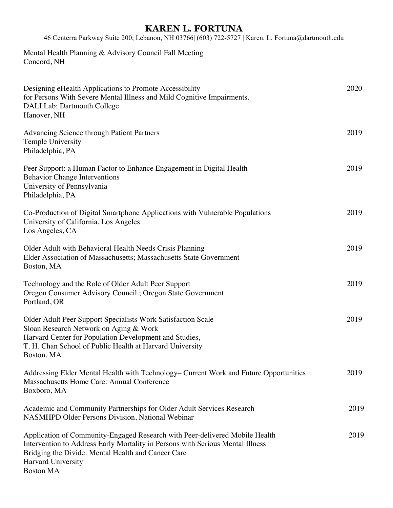46 Centerra Parkway Suite 200; Lebanon, NH 03766| (603) 722-5727 | Karen. L. Fortuna@dartmouth.edu

Mental Health Planning & Advisory Council Fall Meeting Concord, NH

| Designing eHealth Applications to Promote Accessibility<br>for Persons With Severe Mental Illness and Mild Cognitive Impairments.<br>DALI Lab: Dartmouth College<br>Hanover, NH                                                                                      | 2020 |
|----------------------------------------------------------------------------------------------------------------------------------------------------------------------------------------------------------------------------------------------------------------------|------|
| <b>Advancing Science through Patient Partners</b><br>Temple University<br>Philadelphia, PA                                                                                                                                                                           | 2019 |
| Peer Support: a Human Factor to Enhance Engagement in Digital Health<br><b>Behavior Change Interventions</b><br>University of Pennsylvania<br>Philadelphia, PA                                                                                                       | 2019 |
| Co-Production of Digital Smartphone Applications with Vulnerable Populations<br>University of California, Los Angeles<br>Los Angeles, CA                                                                                                                             | 2019 |
| Older Adult with Behavioral Health Needs Crisis Planning<br>Elder Association of Massachusetts; Massachusetts State Government<br>Boston, MA                                                                                                                         | 2019 |
| Technology and the Role of Older Adult Peer Support<br>Oregon Consumer Advisory Council; Oregon State Government<br>Portland, OR                                                                                                                                     | 2019 |
| Older Adult Peer Support Specialists Work Satisfaction Scale<br>Sloan Research Network on Aging & Work<br>Harvard Center for Population Development and Studies,<br>T. H. Chan School of Public Health at Harvard University<br>Boston, MA                           | 2019 |
| Addressing Elder Mental Health with Technology– Current Work and Future Opportunities<br>Massachusetts Home Care: Annual Conference<br>Boxboro, MA                                                                                                                   | 2019 |
| Academic and Community Partnerships for Older Adult Services Research<br><b>NASMHPD Older Persons Division, National Webinar</b>                                                                                                                                     | 2019 |
| Application of Community-Engaged Research with Peer-delivered Mobile Health<br>Intervention to Address Early Mortality in Persons with Serious Mental Illness<br>Bridging the Divide: Mental Health and Cancer Care<br><b>Harvard University</b><br><b>Boston MA</b> | 2019 |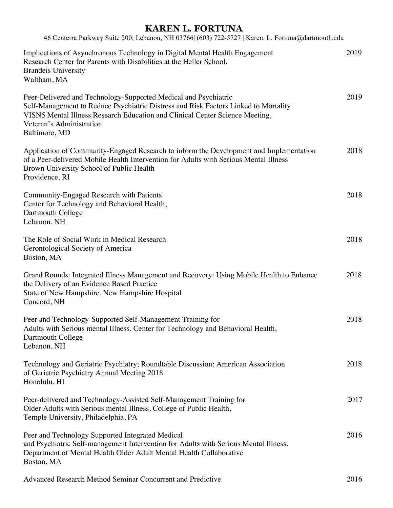| 46 Centerra Parkway Suite 200; Lebanon, NH 03766 (603) 722-5727   Karen. L. Fortuna@dartmouth.edu                                                                                                                                                                                   |      |
|-------------------------------------------------------------------------------------------------------------------------------------------------------------------------------------------------------------------------------------------------------------------------------------|------|
| Implications of Asynchronous Technology in Digital Mental Health Engagement<br>Research Center for Parents with Disabilities at the Heller School,<br><b>Brandeis University</b><br>Waltham, MA                                                                                     | 2019 |
| Peer-Delivered and Technology-Supported Medical and Psychiatric<br>Self-Management to Reduce Psychiatric Distress and Risk Factors Linked to Mortality<br>VISN5 Mental Illness Research Education and Clinical Center Science Meeting,<br>Veteran's Administration<br>Baltimore, MD | 2019 |
| Application of Community-Engaged Research to inform the Development and Implementation<br>of a Peer-delivered Mobile Health Intervention for Adults with Serious Mental Illness<br>Brown University School of Public Health<br>Providence, RI                                       | 2018 |
| Community-Engaged Research with Patients<br>Center for Technology and Behavioral Health,<br>Dartmouth College<br>Lebanon, NH                                                                                                                                                        | 2018 |
| The Role of Social Work in Medical Research<br>Gerontological Society of America<br>Boston, MA                                                                                                                                                                                      | 2018 |
| Grand Rounds: Integrated Illness Management and Recovery: Using Mobile Health to Enhance<br>the Delivery of an Evidence Based Practice<br>State of New Hampshire, New Hampshire Hospital<br>Concord, NH                                                                             | 2018 |
| Peer and Technology-Supported Self-Management Training for<br>Adults with Serious mental Illness. Center for Technology and Behavioral Health,<br>Dartmouth College<br>Lebanon, NH                                                                                                  | 2018 |
| Technology and Geriatric Psychiatry; Roundtable Discussion; American Association<br>of Geriatric Psychiatry Annual Meeting 2018<br>Honolulu, HI                                                                                                                                     | 2018 |
| Peer-delivered and Technology-Assisted Self-Management Training for<br>Older Adults with Serious mental Illness. College of Public Health,<br>Temple University, Philadelphia, PA                                                                                                   | 2017 |
| Peer and Technology Supported Integrated Medical<br>and Psychiatric Self-management Intervention for Adults with Serious Mental Illness.<br>Department of Mental Health Older Adult Mental Health Collaborative<br>Boston, MA                                                       | 2016 |

Advanced Research Method Seminar Concurrent and Predictive 2016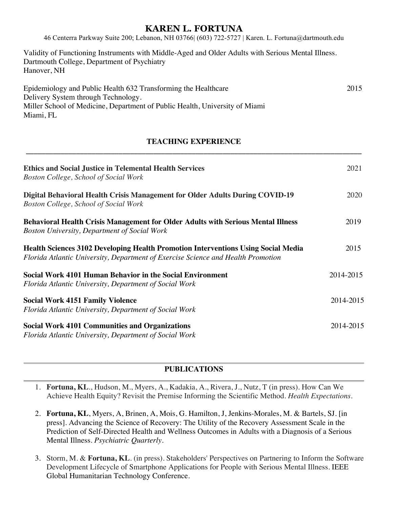46 Centerra Parkway Suite 200; Lebanon, NH 03766| (603) 722-5727 | Karen. L. Fortuna@dartmouth.edu

Validity of Functioning Instruments with Middle-Aged and Older Adults with Serious Mental Illness. Dartmouth College, Department of Psychiatry Hanover, NH

| Epidemiology and Public Health 632 Transforming the Healthcare              | 2015 |
|-----------------------------------------------------------------------------|------|
| Delivery System through Technology.                                         |      |
| Miller School of Medicine, Department of Public Health, University of Miami |      |
| Miami, FL                                                                   |      |

#### **TEACHING EXPERIENCE \_\_\_\_\_\_\_\_\_\_\_\_\_\_\_\_\_\_\_\_\_\_\_\_\_\_\_\_\_\_\_\_\_\_\_\_\_\_\_\_\_\_\_\_\_\_\_\_\_\_\_\_\_\_\_\_\_\_\_\_\_\_\_\_\_\_\_\_\_\_\_\_\_\_\_\_\_\_\_\_\_\_\_\_\_\_\_**

| <b>Ethics and Social Justice in Telemental Health Services</b><br><b>Boston College, School of Social Work</b>                                                        | 2021      |
|-----------------------------------------------------------------------------------------------------------------------------------------------------------------------|-----------|
| Digital Behavioral Health Crisis Management for Older Adults During COVID-19<br>Boston College, School of Social Work                                                 | 2020      |
| <b>Behavioral Health Crisis Management for Older Adults with Serious Mental Illness</b><br><b>Boston University, Department of Social Work</b>                        | 2019      |
| Health Sciences 3102 Developing Health Promotion Interventions Using Social Media<br>Florida Atlantic University, Department of Exercise Science and Health Promotion | 2015      |
| Social Work 4101 Human Behavior in the Social Environment<br>Florida Atlantic University, Department of Social Work                                                   | 2014-2015 |
| <b>Social Work 4151 Family Violence</b><br>Florida Atlantic University, Department of Social Work                                                                     | 2014-2015 |
| <b>Social Work 4101 Communities and Organizations</b><br>Florida Atlantic University, Department of Social Work                                                       | 2014-2015 |

#### **PUBLICATIONS**

1. **Fortuna, KL**., Hudson, M., Myers, A., Kadakia, A., Rivera, J., Nutz, T (in press). How Can We Achieve Health Equity? Revisit the Premise Informing the Scientific Method. *Health Expectations.*

2. **Fortuna, KL**, Myers, A, Brinen, A, Mois, G. Hamilton, J, Jenkins-Morales, M. & Bartels, SJ. [in press]. Advancing the Science of Recovery: The Utility of the Recovery Assessment Scale in the Prediction of Self-Directed Health and Wellness Outcomes in Adults with a Diagnosis of a Serious Mental Illness. *Psychiatric Quarterly.*

3. Storm, M. & **Fortuna, KL**. (in press). Stakeholders' Perspectives on Partnering to Inform the Software Development Lifecycle of Smartphone Applications for People with Serious Mental Illness. IEEE Global Humanitarian Technology Conference.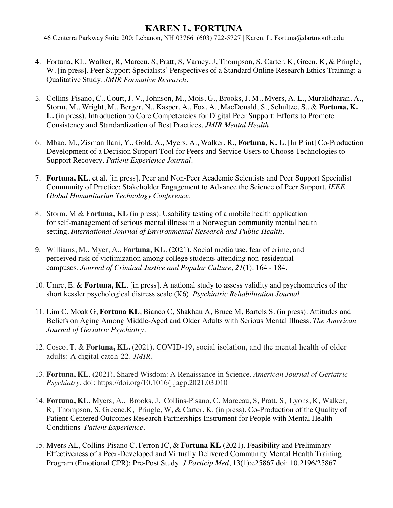- 4. Fortuna, KL, Walker, R, Marceu, S, Pratt, S, Varney, J, Thompson, S, Carter, K, Green, K, & Pringle, W. [in press]. Peer Support Specialists' Perspectives of a Standard Online Research Ethics Training: a Qualitative Study. *JMIR Formative Research.*
- 5. Collins-Pisano, C., Court, J. V., Johnson, M., Mois, G., Brooks, J. M., Myers, A. L., Muralidharan, A., Storm, M., Wright, M., Berger, N., Kasper, A., Fox, A., MacDonald, S., Schultze, S., & **Fortuna, K. L.** (in press). Introduction to Core Competencies for Digital Peer Support: Efforts to Promote Consistency and Standardization of Best Practices. *JMIR Mental Health.*
- 6. Mbao, M**.,** Zisman Ilani, Y., Gold, A., Myers, A., Walker, R., **Fortuna, K. L**. [In Print] Co-Production Development of a Decision Support Tool for Peers and Service Users to Choose Technologies to Support Recovery. *Patient Experience Journal*.
- 7. **Fortuna, KL**. et al. [in press]. Peer and Non-Peer Academic Scientists and Peer Support Specialist Community of Practice: Stakeholder Engagement to Advance the Science of Peer Support. *IEEE Global Humanitarian Technology Conference.*
- 8. Storm, M & **Fortuna, KL** (in press). Usability testing of a mobile health application for self-management of serious mental illness in a Norwegian community mental health setting. *International Journal of Environmental Research and Public Health.*
- 9. Williams, M., Myer, A., **Fortuna, KL**. (2021). Social media use, fear of crime, and perceived risk of victimization among college students attending non-residential campuses. *Journal of Criminal Justice and Popular Culture, 21*(1). 164 - 184.
- 10. Umre, E. & **Fortuna, KL**. [in press]. A national study to assess validity and psychometrics of the short kessler psychological distress scale (K6). *Psychiatric Rehabilitation Journal.*
- 11. Lim C, Moak G, **Fortuna KL**, Bianco C, Shakhau A, Bruce M, Bartels S. (in press). Attitudes and Beliefs on Aging Among Middle-Aged and Older Adults with Serious Mental Illness. *The American Journal of Geriatric Psychiatry*.
- 12. Cosco, T. & **Fortuna, KL.** (2021). COVID-19, social isolation, and the mental health of older adults: A digital catch-22. *JMIR*.
- 13. **Fortuna, KL**. (2021). Shared Wisdom: A Renaissance in Science. *American Journal of Geriatric Psychiatry.* doi: https://doi.org/10.1016/j.jagp.2021.03.010
- 14. **Fortuna, KL**, Myers, A., Brooks, J, Collins-Pisano, C, Marceau, S, Pratt, S, Lyons, K, Walker, R, Thompson, S, Greene,K, Pringle, W, & Carter, K. (in press). Co-Production of the Quality of Patient-Centered Outcomes Research Partnerships Instrument for People with Mental Health Conditions *Patient Experience.*
- 15. Myers AL, Collins-Pisano C, Ferron JC, & **Fortuna KL** (2021). Feasibility and Preliminary Effectiveness of a Peer-Developed and Virtually Delivered Community Mental Health Training Program (Emotional CPR): Pre-Post Study. *J Particip Med*, 13(1):e25867 doi: 10.2196/25867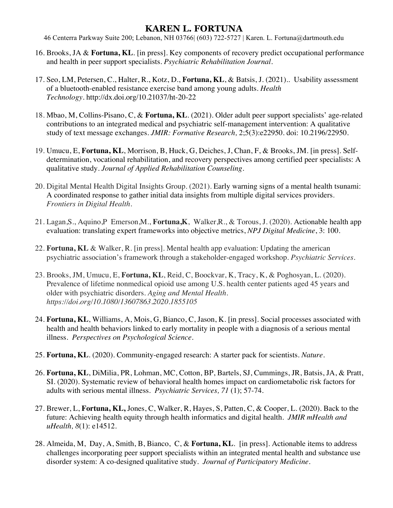- 16. Brooks, JA & **Fortuna, KL**. [in press]. Key components of recovery predict occupational performance and health in peer support specialists. *Psychiatric Rehabilitation Journal*.
- 17. Seo, LM, Petersen, C., Halter, R., Kotz, D., **Fortuna, KL**, & Batsis, J. (2021).. Usability assessment of a bluetooth-enabled resistance exercise band among young adults. *Health Technology.* http://dx.doi.org/10.21037/ht-20-22
- 18. Mbao, M, Collins-Pisano, C, & **Fortuna, KL**. (2021). Older adult peer support specialists' age-related contributions to an integrated medical and psychiatric self-management intervention: A qualitative study of text message exchanges. *JMIR: Formative Research,* 2;5(3):e22950. doi: 10.2196/22950.
- 19. Umucu, E, **Fortuna, KL**, Morrison, B, Huck, G, Deiches, J, Chan, F, & Brooks, JM. [in press]. Selfdetermination, vocational rehabilitation, and recovery perspectives among certified peer specialists: A qualitative study. *Journal of Applied Rehabilitation Counseling*.
- 20. Digital Mental Health Digital Insights Group. (2021). Early warning signs of a mental health tsunami: A coordinated response to gather initial data insights from multiple digital services providers. *Frontiers in Digital Health.*
- 21. Lagan,S., Aquino,P Emerson,M., **Fortuna,K**, Walker,R., & Torous, J. (2020). Actionable health app evaluation: translating expert frameworks into objective metrics, *NPJ Digital Medicine*, 3: 100.
- 22. **Fortuna, KL** & Walker, R. [in press]. Mental health app evaluation: Updating the american psychiatric association's framework through a stakeholder-engaged workshop. *Psychiatric Services.*
- 23. Brooks, JM, Umucu, E, **Fortuna, KL**, Reid, C, Boockvar, K, Tracy, K, & Poghosyan, L. (2020). Prevalence of lifetime nonmedical opioid use among U.S. health center patients aged 45 years and older with psychiatric disorders. *Aging and Mental Health. https://doi.org/10.1080/13607863.2020.1855105*
- 24. **Fortuna, KL**, Williams, A, Mois, G, Bianco, C, Jason, K. [in press]. Social processes associated with health and health behaviors linked to early mortality in people with a diagnosis of a serious mental illness. *Perspectives on Psychological Science.*
- 25. **Fortuna, KL**. (2020). Community-engaged research: A starter pack for scientists. *Nature*.
- 26. **Fortuna, KL**, DiMilia, PR, Lohman, MC, Cotton, BP, Bartels, SJ, Cummings, JR, Batsis, JA, & Pratt, SI. (2020). Systematic review of behavioral health homes impact on cardiometabolic risk factors for adults with serious mental illness. *Psychiatric Services, 71* (1); 57-74.
- 27. Brewer, L, **Fortuna, KL,** Jones, C, Walker, R, Hayes, S, Patten, C, & Cooper, L. (2020). Back to the future: Achieving health equity through health informatics and digital health*. JMIR mHealth and uHealth, 8*(1): e14512.
- 28. Almeida, M, Day, A, Smith, B, Bianco, C, & **Fortuna, KL**. [in press]. Actionable items to address challenges incorporating peer support specialists within an integrated mental health and substance use disorder system: A co-designed qualitative study. *Journal of Participatory Medicine.*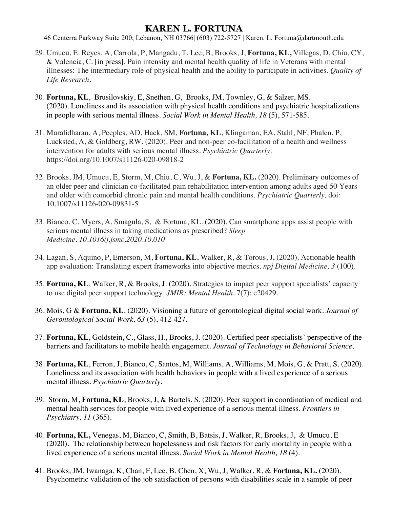- 29. Umucu, E. Reyes, A, Carrola, P, Mangadu, T, Lee, B, Brooks, J, **Fortuna, KL,** Villegas, D, Chiu, CY, & Valencia, C. [in press]. Pain intensity and mental health quality of life in Veterans with mental illnesses: The intermediary role of physical health and the ability to participate in activities. *Quality of Life Research*.
- 30. **Fortuna, KL**, Brusilovskiy, E, Snethen, G, Brooks, JM, Townley, G, & Salzer, MS. (2020). Loneliness and its association with physical health conditions and psychiatric hospitalizations in people with serious mental illness. *Social Work in Mental Health, 18* (5), 571-585.
- 31. Muralidharan, A, Peeples, AD, Hack, SM, **Fortuna, KL**, Klingaman, EA, Stahl, NF, Phalen, P, Lucksted, A, & Goldberg, RW. (2020). Peer and non-peer co-facilitation of a health and wellness intervention for adults with serious mental illness. *Psychiatric Quarterly,* https://doi.org/10.1007/s11126-020-09818-2
- 32. Brooks, JM, Umucu, E, Storm, M, Chiu, C, Wu, J, & **Fortuna, KL.** (2020). Preliminary outcomes of an older peer and clinician co-facilitated pain rehabilitation intervention among adults aged 50 Years and older with comorbid chronic pain and mental health conditions. *Psychiatric Quarterly,* doi: 10.1007/s11126-020-09831-5
- 33. Bianco, C, Myers, A, Smagula, S, & Fortuna, KL. (2020). Can smartphone apps assist people with serious mental illness in taking medications as prescribed? *Sleep Medicine. 10.1016/j.jsmc.2020.10.010*
- 34. Lagan, S, Aquino, P, Emerson, M, **Fortuna, KL**, Walker, R, & Torous, J**.** (2020). Actionable health app evaluation: Translating expert frameworks into objective metrics. *npj Digital Medicine, 3* (100).
- 35. **Fortuna, KL**, Walker, R, & Brooks, J. (2020). Strategies to impact peer support specialists' capacity to use digital peer support technology. *JMIR: Mental Health,* 7(7): e20429.
- 36. Mois, G & **Fortuna, KL**. (2020). Visioning a future of gerontological digital social work. *Journal of Gerontological Social Work, 63* (5), 412-427.
- 37. **Fortuna, KL**, Goldstein, C., Glass, H., Brooks, J. (2020). Certified peer specialists' perspective of the barriers and facilitators to mobile health engagement. *Journal of Technology in Behavioral Science.*
- 38. **Fortuna, KL**, Ferron, J, Bianco, C, Santos, M, Williams, A, Williams, M, Mois, G, & Pratt, S. (2020). Loneliness and its association with health behaviors in people with a lived experience of a serious mental illness. *Psychiatric Quarterly.*
- 39. Storm, M, **Fortuna, KL**, Brooks, J, & Bartels, S. (2020). Peer support in coordination of medical and mental health services for people with lived experience of a serious mental illness. *Frontiers in Psychiatry, 11* (365).
- 40. **Fortuna, KL,** Venegas, M, Bianco, C, Smith, B, Batsis, J, Walker, R, Brooks, J, & Umucu, E (2020). The relationship between hopelessness and risk factors for early mortality in people with a lived experience of a serious mental illness. *Social Work in Mental Health, 18* (4).
- 41. Brooks, JM, Iwanaga, K, Chan, F, Lee, B, Chen, X, Wu, J, Walker, R, & **Fortuna, KL.** (2020). Psychometric validation of the job satisfaction of persons with disabilities scale in a sample of peer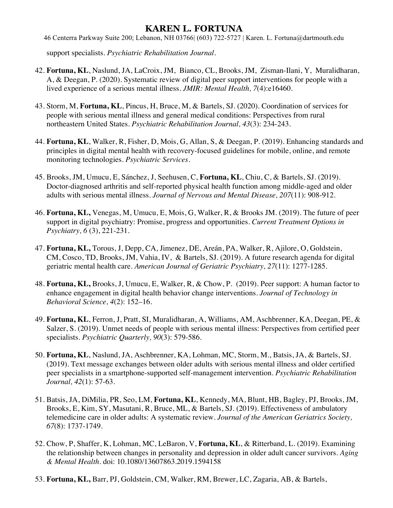46 Centerra Parkway Suite 200; Lebanon, NH 03766| (603) 722-5727 | Karen. L. Fortuna@dartmouth.edu

support specialists. *Psychiatric Rehabilitation Journal.*

- 42. **Fortuna, KL**, Naslund, JA, LaCroix, JM, Bianco, CL, Brooks, JM, Zisman-Ilani, Y, Muralidharan, A, & Deegan, P. (2020). Systematic review of digital peer support interventions for people with a lived experience of a serious mental illness. *JMIR: Mental Health, 7*(4):e16460.
- 43. Storm, M, **Fortuna, KL**, Pincus, H, Bruce, M, & Bartels, SJ. (2020). Coordination of services for people with serious mental illness and general medical conditions: Perspectives from rural northeastern United States. *Psychiatric Rehabilitation Journal, 43*(3): 234-243.
- 44. **Fortuna, KL**, Walker, R, Fisher, D, Mois, G, Allan, S, & Deegan, P. (2019). Enhancing standards and principles in digital mental health with recovery-focused guidelines for mobile, online, and remote monitoring technologies. *Psychiatric Services.*
- 45. Brooks, JM, Umucu, E, Sánchez, J, Seehusen, C, **Fortuna, KL**, Chiu, C, & Bartels, SJ. (2019). Doctor-diagnosed arthritis and self-reported physical health function among middle-aged and older adults with serious mental illness. *Journal of Nervous and Mental Disease, 207*(11): 908-912.
- 46. **Fortuna, KL,** Venegas, M, Umucu, E, Mois, G, Walker, R, & Brooks JM. (2019). The future of peer support in digital psychiatry: Promise, progress and opportunities. *Current Treatment Options in Psychiatry, 6* (3), 221-231.
- 47. **Fortuna, KL,** Torous, J, Depp, CA, Jimenez, DE, Areán, PA, Walker, R, Ajilore, O, Goldstein, CM, Cosco, TD, Brooks, JM, Vahia, IV, & Bartels, SJ. (2019). A future research agenda for digital geriatric mental health care. *American Journal of Geriatric Psychiatry, 27*(11): 1277-1285.
- 48. **Fortuna, KL,** Brooks, J, Umucu, E, Walker, R, & Chow, P. (2019). Peer support: A human factor to enhance engagement in digital health behavior change interventions. *Journal of Technology in Behavioral Science, 4*(2): 152–16.
- 49. **Fortuna, KL**, Ferron, J, Pratt, SI, Muralidharan, A, Williams, AM, Aschbrenner, KA, Deegan, PE, & Salzer, S. (2019). Unmet needs of people with serious mental illness: Perspectives from certified peer specialists. *Psychiatric Quarterly, 90*(3): 579-586.
- 50. **Fortuna, KL**, Naslund, JA, Aschbrenner, KA, Lohman, MC, Storm, M., Batsis, JA, & Bartels, SJ. (2019). Text message exchanges between older adults with serious mental illness and older certified peer specialists in a smartphone-supported self-management intervention. *Psychiatric Rehabilitation Journal, 42*(1): 57-63.
- 51. Batsis, JA, DiMilia, PR, Seo, LM, **Fortuna, KL**, Kennedy, MA, Blunt, HB, Bagley, PJ, Brooks, JM, Brooks, E, Kim, SY, Masutani, R, Bruce, ML, & Bartels, SJ. (2019). Effectiveness of ambulatory telemedicine care in older adults: A systematic review. *Journal of the American Geriatrics Society, 67*(8): 1737-1749.
- 52. Chow, P, Shaffer, K, Lohman, MC, LeBaron, V, **Fortuna, KL**, & Ritterband, L. (2019). Examining the relationship between changes in personality and depression in older adult cancer survivors. *Aging & Mental Health*. doi: 10.1080/13607863.2019.1594158
- 53. **Fortuna, KL,** Barr, PJ, Goldstein, CM, Walker, RM, Brewer, LC, Zagaria, AB, & Bartels,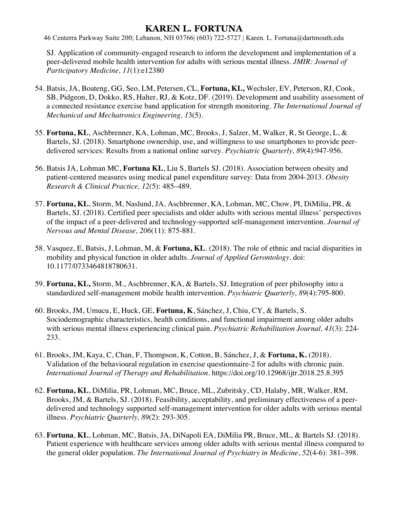46 Centerra Parkway Suite 200; Lebanon, NH 03766| (603) 722-5727 | Karen. L. Fortuna@dartmouth.edu

SJ. Application of community-engaged research to inform the development and implementation of a peer-delivered mobile health intervention for adults with serious mental illness. *JMIR: Journal of Participatory Medicine, 11*(1):e12380

- 54. Batsis, JA, Boateng, GG, Seo, LM, Petersen, CL, **Fortuna, KL,** Wechsler, EV, Peterson, RJ, Cook, SB, Pidgeon, D, Dokko, RS, Halter, RJ, & Kotz, DF. (2019). Development and usability assessment of a connected resistance exercise band application for strength monitoring. *The International Journal of Mechanical and Mechatronics Engineering, 1*3(5).
- 55. **Fortuna, KL**, Aschbrenner, KA, Lohman, MC, Brooks, J, Salzer, M, Walker, R, St George, L, & Bartels, SJ. (2018). Smartphone ownership, use, and willingness to use smartphones to provide peerdelivered services: Results from a national online survey. *Psychiatric Quarterly, 89*(4):947-956.
- 56. Batsis JA, Lohman MC, **Fortuna KL**, Liu S, Bartels SJ. (2018). Association between obesity and patient-centered measures using medical panel expenditure survey: Data from 2004-2013. *Obesity Research & Clinical Practice, 12(*5): 485–489.
- 57. **Fortuna, KL**, Storm, M, Naslund, JA, Aschbrenner, KA, Lohman, MC, Chow, PI, DiMilia, PR, & Bartels, SJ. (2018). Certified peer specialists and older adults with serious mental illness' perspectives of the impact of a peer-delivered and technology-supported self-management intervention. *Journal of Nervous and Mental Disease, 206*(11): 875-881.
- 58. Vasquez, E, Batsis, J, Lohman, M, & **Fortuna, KL**. (2018). The role of ethnic and racial disparities in mobility and physical function in older adults. *Journal of Applied Gerontology*. doi: 10.1177/0733464818780631.
- 59. **Fortuna, KL,** Storm, M., Aschbrenner, KA, & Bartels, SJ. Integration of peer philosophy into a standardized self-management mobile health intervention. *Psychiatric Quarterly, 89*(4):795-800.
- 60. Brooks, JM, Umucu, E, Huck, GE, **Fortuna, K**, Sánchez, J, Chiu, CY, & Bartels, S. Sociodemographic characteristics, health conditions, and functional impairment among older adults with serious mental illness experiencing clinical pain. *Psychiatric Rehabilitation Journal, 41*(3): 224- 233.
- 61. Brooks, JM, Kaya, C, Chan, F, Thompson, K, Cotton, B, Sánchez, J, & **Fortuna, K.** (2018). Validation of the behavioural regulation in exercise questionnaire-2 for adults with chronic pain. *International Journal of Therapy and Rehabilitation*. https://doi.org/10.12968/ijtr.2018.25.8.395
- 62. **Fortuna, KL**, DiMilia, PR, Lohman, MC, Bruce, ML, Zubritsky, CD, Halaby, MR, Walker, RM, Brooks, JM, & Bartels, SJ. (2018). Feasibility, acceptability, and preliminary effectiveness of a peerdelivered and technology supported self-management intervention for older adults with serious mental illness. *Psychiatric Quarterly, 89*(2): 293-305.
- 63. **Fortuna**, **KL**, Lohman, MC, Batsis, JA, DiNapoli EA, DiMilia PR, Bruce, ML, & Bartels SJ. (2018). Patient experience with healthcare services among older adults with serious mental illness compared to the general older population. *The International Journal of Psychiatry in Medicine*, *52*(4-6): 381–398.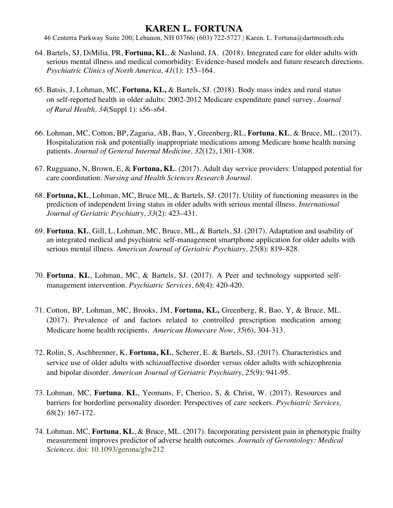- 64. Bartels, SJ, DiMilia, PR, **Fortuna, KL**, & Naslund, JA. (2018). Integrated care for older adults with serious mental illness and medical comorbidity: Evidence-based models and future research directions. *Psychiatric Clinics of North America, 41*(1): 153–164.
- 65. Batsis, J, Lohman, MC, **Fortuna, KL,** & Bartels, SJ. (2018). Body mass index and rural status on self-reported health in older adults: 2002-2012 Medicare expenditure panel survey. *Journal of Rural Health, 34*(Suppl 1): s56–s64.
- 66. Lohman, MC, Cotton, BP, Zagaria, AB, Bao, Y, Greenberg, RL, **Fortuna**, **KL**, & Bruce, ML. (2017). Hospitalization risk and potentially inappropriate medications among Medicare home health nursing patients. *Journal of General Internal Medicine, 32*(12), 1301-1308.
- 67. Rugguano, N, Brown, E, & **Fortuna, KL**. (2017). Adult day service providers: Untapped potential for care coordination. *Nursing and Health Sciences Research Journal.*
- 68. **Fortuna, KL**, Lohman, MC, Bruce ML, & Bartels, SJ. (2017). Utility of functioning measures in the prediction of independent living status in older adults with serious mental illness. *International Journal of Geriatric Psychiatry, 33*(2): 423–431.
- 69. **Fortuna**, **KL**, Gill, L, Lohman, MC, Bruce, ML, & Bartels, SJ. (2017). Adaptation and usability of an integrated medical and psychiatric self-management smartphone application for older adults with serious mental illness. *American Journal of Geriatric Psychiatry, 25*(8): 819–828.
- 70. **Fortuna**, **KL**, Lohman, MC, & Bartels, SJ. (2017). A Peer and technology supported selfmanagement intervention. *Psychiatric Services, 68*(4): 420-420.
- 71. Cotton, BP, Lohman, MC, Brooks, JM, **Fortuna, KL,** Greenberg, R, Bao, Y, & Bruce, ML. (2017). Prevalence of and factors related to controlled prescription medication among Medicare home health recipients. *American Homecare Now*, *35*(6), 304-313.
- 72. Rolin, S, Aschbrenner, K, **Fortuna, KL**, Scherer, E. & Bartels, SJ. (2017). Characteristics and service use of older adults with schizoaffective disorder versus older adults with schizophrenia and bipolar disorder. *American Journal of Geriatric Psychiatry, 25*(9): 941-95.
- 73. Lohman, MC, **Fortuna**, **KL**, Yeomans, F, Cherico, S, & Christ, W. (2017). Resources and barriers for borderline personality disorder: Perspectives of care seekers. *Psychiatric Services, 68*(2): 167-172.
- 74. Lohman, MC, **Fortuna**, **KL**, & Bruce, ML. (2017). Incorporating persistent pain in phenotypic frailty measurement improves predictor of adverse health outcomes. *Journals of Gerontology: Medical Sciences*. doi: 10.1093/gerona/glw212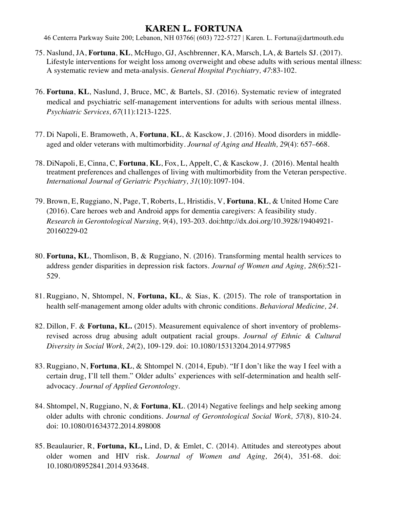- 75. Naslund, JA, **Fortuna**, **KL**, McHugo, GJ, Aschbrenner, KA, Marsch, LA, & Bartels SJ. (2017). Lifestyle interventions for weight loss among overweight and obese adults with serious mental illness: A systematic review and meta-analysis. *General Hospital Psychiatry, 47*:83-102.
- 76. **Fortuna**, **KL**, Naslund, J, Bruce, MC, & Bartels, SJ. (2016). Systematic review of integrated medical and psychiatric self-management interventions for adults with serious mental illness. *Psychiatric Services, 67*(11):1213-1225.
- 77. Di Napoli, E. Bramoweth, A, **Fortuna**, **KL**, & Kasckow, J. (2016). Mood disorders in middleaged and older veterans with multimorbidity. *Journal of Aging and Health, 29*(4): 657–668.
- 78. DiNapoli, E, Cinna, C, **Fortuna**, **KL**, Fox, L, Appelt, C, & Kasckow, J. (2016). Mental health treatment preferences and challenges of living with multimorbidity from the Veteran perspective. *International Journal of Geriatric Psychiatry, 31*(10):1097-104.
- 79. Brown, E, Ruggiano, N, Page, T, Roberts, L, Hristidis, V, **Fortuna**, **KL**, & United Home Care (2016). Care heroes web and Android apps for dementia caregivers: A feasibility study. *Research in Gerontological Nursing, 9*(4), 193-203. doi:http://dx.doi.org/10.3928/19404921- 20160229-02
- 80. **Fortuna, KL**, Thomlison, B, & Ruggiano, N. (2016). Transforming mental health services to address gender disparities in depression risk factors. *Journal of Women and Aging, 28*(6):521- 529.
- 81. Ruggiano, N, Shtompel, N, **Fortuna, KL**, & Sias, K. (2015). The role of transportation in health self-management among older adults with chronic conditions. *Behavioral Medicine, 24.*
- 82. Dillon, F. & **Fortuna, KL.** (2015). Measurement equivalence of short inventory of problemsrevised across drug abusing adult outpatient racial groups. *Journal of Ethnic & Cultural Diversity in Social Work, 24*(2), 109-129. doi: 10.1080/15313204.2014.977985
- 83. Ruggiano, N, **Fortuna**, **KL**, & Shtompel N. (2014, Epub). "If I don't like the way I feel with a certain drug, I'll tell them." Older adults' experiences with self-determination and health selfadvocacy. *Journal of Applied Gerontology*.
- 84. Shtompel, N, Ruggiano, N, & **Fortuna**, **KL**. (2014) Negative feelings and help seeking among older adults with chronic conditions. *Journal of Gerontological Social Work, 57*(8), 810-24. doi: 10.1080/01634372.2014.898008
- 85. Beaulaurier, R, **Fortuna, KL,** Lind, D, & Emlet, C. (2014). Attitudes and stereotypes about older women and HIV risk. *Journal of Women and Aging, 26*(4), 351-68. doi: 10.1080/08952841.2014.933648.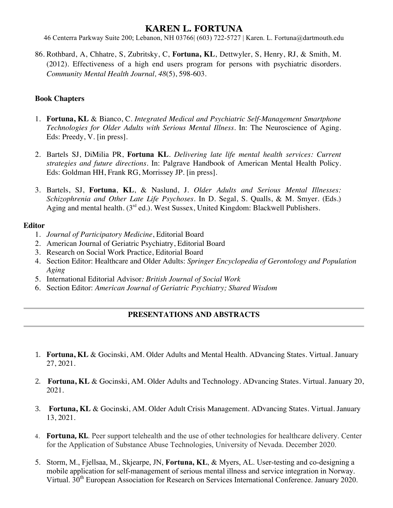46 Centerra Parkway Suite 200; Lebanon, NH 03766| (603) 722-5727 | Karen. L. Fortuna@dartmouth.edu

86. Rothbard, A, Chhatre, S, Zubritsky, C, **Fortuna, KL**, Dettwyler, S, Henry, RJ, & Smith, M. (2012). Effectiveness of a high end users program for persons with psychiatric disorders. *Community Mental Health Journal, 48*(5), 598-603.

#### **Book Chapters**

- 1. **Fortuna, KL** & Bianco, C. *Integrated Medical and Psychiatric Self-Management Smartphone Technologies for Older Adults with Serious Mental Illness*. In: The Neuroscience of Aging. Eds: Preedy, V. [in press].
- 2. Bartels SJ, DiMilia PR, **Fortuna KL**. *Delivering late life mental health services: Current strategies and future directions.* In: Palgrave Handbook of American Mental Health Policy. Eds: Goldman HH, Frank RG, Morrissey JP. [in press].
- 3. Bartels, SJ, **Fortuna**, **KL**, & Naslund, J. *Older Adults and Serious Mental Illnesses: Schizophrenia and Other Late Life Psychoses*. In D. Segal, S. Qualls, & M. Smyer. (Eds.) Aging and mental health.  $(3<sup>rd</sup>$ ed.). West Sussex, United Kingdom: Blackwell Publishers.

#### **Editor**

- 1. *Journal of Participatory Medicine*, Editorial Board
- 2. American Journal of Geriatric Psychiatry, Editorial Board
- 3. Research on Social Work Practice, Editorial Board
- 4. Section Editor: Healthcare and Older Adults: *Springer Encyclopedia of Gerontology and Population Aging*
- 5. International Editorial Advisor*: British Journal of Social Work*
- 6. Section Editor: *American Journal of Geriatric Psychiatry; Shared Wisdom*

#### **PRESENTATIONS AND ABSTRACTS**

- 1. **Fortuna, KL** & Gocinski, AM. Older Adults and Mental Health. ADvancing States. Virtual. January 27, 2021.
- 2. **Fortuna, KL** & Gocinski, AM. Older Adults and Technology. ADvancing States. Virtual. January 20, 2021.
- 3. **Fortuna, KL** & Gocinski, AM. Older Adult Crisis Management. ADvancing States. Virtual. January 13, 2021.
- 4. **Fortuna, KL**. Peer support telehealth and the use of other technologies for healthcare delivery. Center for the Application of Substance Abuse Technologies, University of Nevada. December 2020.
- 5. Storm, M., Fjellsaa, M., Skjearpe, JN, **Fortuna, KL**, & Myers, AL. User-testing and co-designing a mobile application for self-management of serious mental illness and service integration in Norway. Virtual. 30<sup>th</sup> European Association for Research on Services International Conference. January 2020.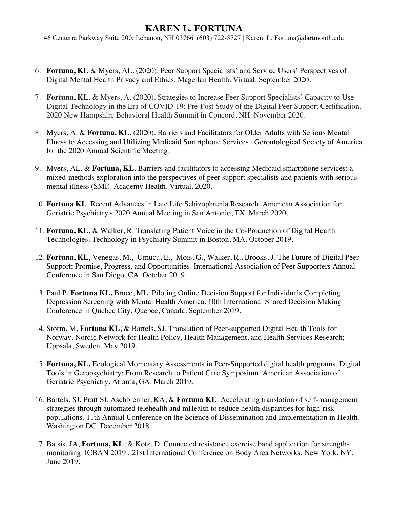- 6. **Fortuna, KL** & Myers, AL. (2020). Peer Support Specialists' and Service Users' Perspectives of Digital Mental Health Privacy and Ethics. Magellan Health. Virtual. September 2020.
- 7. **Fortuna, KL**. & Myers, A. (2020). Strategies to Increase Peer Support Specialists' Capacity to Use Digital Technology in the Era of COVID-19: Pre-Post Study of the Digital Peer Support Certification. 2020 New Hampshire Behavioral Health Summit in Concord, NH. November 2020.
- 8. Myers, A. & **Fortuna, KL**. (2020). Barriers and Facilitators for Older Adults with Serious Mental Illness to Accessing and Utilizing Medicaid Smartphone Services. Gerontological Society of America for the 2020 Annual Scientific Meeting.
- 9. Myers, AL. & **Fortuna, KL**. Barriers and facilitators to accessing Medicaid smartphone services: a mixed-methods exploration into the perspectives of peer support specialists and patients with serious mental illness (SMI). Academy Health. Virtual. 2020.
- 10. **Fortuna KL**. Recent Advances in Late Life Schizophrenia Research. American Association for Geriatric Psychiatry's 2020 Annual Meeting in San Antonio, TX. March 2020.
- 11. **Fortuna, KL**. & Walker, R. Translating Patient Voice in the Co-Production of Digital Health Technologies. Technology in Psychiatry Summit in Boston, MA. October 2019.
- 12. **Fortuna, KL**, Venegas, M., Umucu, E., Mois, G., Walker, R., Brooks, J. The Future of Digital Peer Support: Promise, Progress, and Opportunities. International Association of Peer Supporters Annual Conference in San Diego, CA. October 2019.
- 13. Paul P, **Fortuna KL,** Bruce, ML. Piloting Online Decision Support for Individuals Completing Depression Screening with Mental Health America. 10th International Shared Decision Making Conference in Quebec City, Quebec, Canada. September 2019.
- 14. Storm, M, **Fortuna KL**, & Bartels, SJ. Translation of Peer-supported Digital Health Tools for Norway. Nordic Network for Health Policy, Health Management, and Health Services Research; Uppsala, Sweden. May 2019.
- 15. **Fortuna, KL.** Ecological Momentary Assessments in Peer-Supported digital health programs. Digital Tools in Geropsychiatry: From Research to Patient Care Symposium. American Association of Geriatric Psychiatry. Atlanta, GA. March 2019.
- 16. Bartels, SJ, Pratt SI, Aschbrenner, KA, & **Fortuna KL**. Accelerating translation of self-management strategies through automated telehealth and mHealth to reduce health disparities for high-risk populations. 11th Annual Conference on the Science of Dissemination and Implementation in Health. Washington DC. December 2018.
- 17. Batsis, JA, **Fortuna, KL**, & Kotz, D. Connected resistance exercise band application for strengthmonitoring. ICBAN 2019 : 21st International Conference on Body Area Networks. New York, NY. June 2019.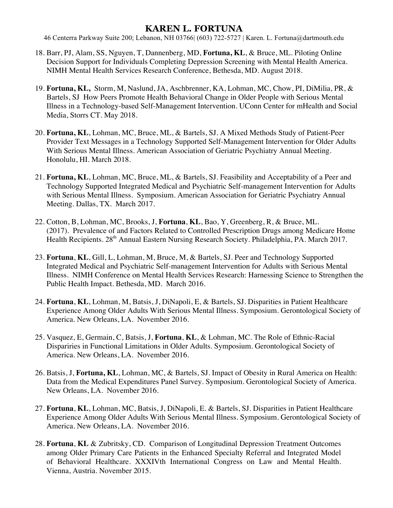- 18. Barr, PJ, Alam, SS, Nguyen, T, Dannenberg, MD, **Fortuna, KL**, & Bruce, ML. Piloting Online Decision Support for Individuals Completing Depression Screening with Mental Health America. NIMH Mental Health Services Research Conference, Bethesda, MD. August 2018.
- 19. **Fortuna, KL,** Storm, M, Naslund, JA, Aschbrenner, KA, Lohman, MC, Chow, PI, DiMilia, PR, & Bartels, SJ How Peers Promote Health Behavioral Change in Older People with Serious Mental Illness in a Technology-based Self-Management Intervention. UConn Center for mHealth and Social Media, Storrs CT. May 2018.
- 20. **Fortuna, KL**, Lohman, MC, Bruce, ML, & Bartels, SJ. A Mixed Methods Study of Patient-Peer Provider Text Messages in a Technology Supported Self-Management Intervention for Older Adults With Serious Mental Illness. American Association of Geriatric Psychiatry Annual Meeting. Honolulu, HI. March 2018.
- 21. **Fortuna, KL**, Lohman, MC, Bruce, ML, & Bartels, SJ. Feasibility and Acceptability of a Peer and Technology Supported Integrated Medical and Psychiatric Self-management Intervention for Adults with Serious Mental Illness. Symposium. American Association for Geriatric Psychiatry Annual Meeting. Dallas, TX. March 2017.
- 22. Cotton, B, Lohman, MC, Brooks, J, **Fortuna**, **KL**, Bao, Y, Greenberg, R, & Bruce, ML. (2017). Prevalence of and Factors Related to Controlled Prescription Drugs among Medicare Home Health Recipients. 28<sup>th</sup> Annual Eastern Nursing Research Society. Philadelphia, PA. March 2017.
- 23. **Fortuna**, **KL**, Gill, L, Lohman, M, Bruce, M, & Bartels, SJ. Peer and Technology Supported Integrated Medical and Psychiatric Self-management Intervention for Adults with Serious Mental Illness. NIMH Conference on Mental Health Services Research: Harnessing Science to Strengthen the Public Health Impact. Bethesda, MD. March 2016.
- 24. **Fortuna**, **KL**, Lohman, M, Batsis, J, DiNapoli, E, & Bartels, SJ. Disparities in Patient Healthcare Experience Among Older Adults With Serious Mental Illness. Symposium. Gerontological Society of America. New Orleans, LA. November 2016.
- 25. Vasquez, E, Germain, C, Batsis, J, **Fortuna**, **KL**, & Lohman, MC. The Role of Ethnic-Racial Dispariries in Functional Limitations in Older Adults. Symposium. Gerontological Society of America. New Orleans, LA. November 2016.
- 26. Batsis, J, **Fortuna, KL**, Lohman, MC, & Bartels, SJ. Impact of Obesity in Rural America on Health: Data from the Medical Expenditures Panel Survey. Symposium. Gerontological Society of America. New Orleans, LA. November 2016.
- 27. **Fortuna**, **KL**, Lohman, MC, Batsis, J, DiNapoli, E. & Bartels, SJ. Disparities in Patient Healthcare Experience Among Older Adults With Serious Mental Illness. Symposium. Gerontological Society of America. New Orleans, LA. November 2016.
- 28. **Fortuna**, **KL** & Zubritsky, CD. Comparison of Longitudinal Depression Treatment Outcomes among Older Primary Care Patients in the Enhanced Specialty Referral and Integrated Model of Behavioral Healthcare. XXXIVth International Congress on Law and Mental Health. Vienna, Austria. November 2015.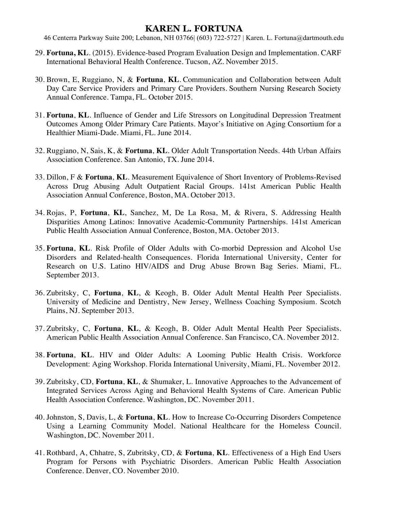- 29. **Fortuna, KL**. (2015). Evidence-based Program Evaluation Design and Implementation. CARF International Behavioral Health Conference. Tucson, AZ. November 2015.
- 30. Brown, E, Ruggiano, N, & **Fortuna**, **KL**. Communication and Collaboration between Adult Day Care Service Providers and Primary Care Providers. Southern Nursing Research Society Annual Conference. Tampa, FL. October 2015.
- 31. **Fortuna**, **KL**. Influence of Gender and Life Stressors on Longitudinal Depression Treatment Outcomes Among Older Primary Care Patients. Mayor's Initiative on Aging Consortium for a Healthier Miami-Dade. Miami, FL. June 2014.
- 32. Ruggiano, N, Sais, K, & **Fortuna**, **KL**. Older Adult Transportation Needs. 44th Urban Affairs Association Conference. San Antonio, TX. June 2014.
- 33. Dillon, F & **Fortuna**, **KL**. Measurement Equivalence of Short Inventory of Problems-Revised Across Drug Abusing Adult Outpatient Racial Groups. 141st American Public Health Association Annual Conference, Boston, MA. October 2013.
- 34. Rojas, P, **Fortuna**, **KL**, Sanchez, M, De La Rosa, M, & Rivera, S. Addressing Health Disparities Among Latinos: Innovative Academic-Community Partnerships. 141st American Public Health Association Annual Conference, Boston, MA. October 2013.
- 35. **Fortuna**, **KL**. Risk Profile of Older Adults with Co-morbid Depression and Alcohol Use Disorders and Related-health Consequences. Florida International University, Center for Research on U.S. Latino HIV/AIDS and Drug Abuse Brown Bag Series. Miami, FL. September 2013.
- 36. Zubritsky, C, **Fortuna**, **KL**, & Keogh, B. Older Adult Mental Health Peer Specialists. University of Medicine and Dentistry, New Jersey, Wellness Coaching Symposium. Scotch Plains, NJ. September 2013.
- 37. Zubritsky, C, **Fortuna**, **KL**, & Keogh, B. Older Adult Mental Health Peer Specialists. American Public Health Association Annual Conference. San Francisco, CA. November 2012.
- 38. **Fortuna**, **KL**. HIV and Older Adults: A Looming Public Health Crisis. Workforce Development: Aging Workshop. Florida International University, Miami, FL. November 2012.
- 39. Zubritsky, CD, **Fortuna**, **KL**, & Shumaker, L. Innovative Approaches to the Advancement of Integrated Services Across Aging and Behavioral Health Systems of Care. American Public Health Association Conference. Washington, DC. November 2011.
- 40. Johnston, S, Davis, L, & **Fortuna**, **KL**. How to Increase Co-Occurring Disorders Competence Using a Learning Community Model. National Healthcare for the Homeless Council. Washington, DC. November 2011.
- 41. Rothbard, A, Chhatre, S, Zubritsky, CD, & **Fortuna**, **KL**. Effectiveness of a High End Users Program for Persons with Psychiatric Disorders. American Public Health Association Conference. Denver, CO. November 2010.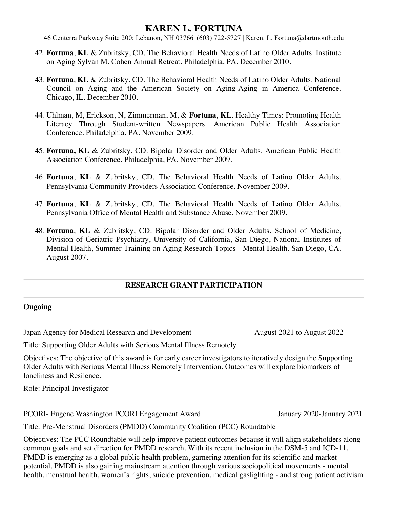46 Centerra Parkway Suite 200; Lebanon, NH 03766| (603) 722-5727 | Karen. L. Fortuna@dartmouth.edu

- 42. **Fortuna**, **KL** & Zubritsky, CD. The Behavioral Health Needs of Latino Older Adults. Institute on Aging Sylvan M. Cohen Annual Retreat. Philadelphia, PA. December 2010.
- 43. **Fortuna**, **KL** & Zubritsky, CD. The Behavioral Health Needs of Latino Older Adults. National Council on Aging and the American Society on Aging-Aging in America Conference. Chicago, IL. December 2010.
- 44. Uhlman, M, Erickson, N, Zimmerman, M, & **Fortuna**, **KL**. Healthy Times: Promoting Health Literacy Through Student-written Newspapers. American Public Health Association Conference. Philadelphia, PA. November 2009.
- 45. **Fortuna, KL** & Zubritsky, CD. Bipolar Disorder and Older Adults. American Public Health Association Conference. Philadelphia, PA. November 2009.
- 46. **Fortuna**, **KL** & Zubritsky, CD. The Behavioral Health Needs of Latino Older Adults. Pennsylvania Community Providers Association Conference. November 2009.
- 47. **Fortuna**, **KL** & Zubritsky, CD. The Behavioral Health Needs of Latino Older Adults. Pennsylvania Office of Mental Health and Substance Abuse. November 2009.
- 48. **Fortuna**, **KL** & Zubritsky, CD. Bipolar Disorder and Older Adults. School of Medicine, Division of Geriatric Psychiatry, University of California, San Diego, National Institutes of Mental Health, Summer Training on Aging Research Topics - Mental Health. San Diego, CA. August 2007.

#### **RESEARCH GRANT PARTICIPATION**

#### **Ongoing**

Japan Agency for Medical Research and Development August 2021 to August 2022

Title: Supporting Older Adults with Serious Mental Illness Remotely

Objectives: The objective of this award is for early career investigators to iteratively design the Supporting Older Adults with Serious Mental Illness Remotely Intervention. Outcomes will explore biomarkers of loneliness and Resilence.

Role: Principal Investigator

PCORI- Eugene Washington PCORI Engagement Award January 2020-January 2021

Title: Pre-Menstrual Disorders (PMDD) Community Coalition (PCC) Roundtable

Objectives: The PCC Roundtable will help improve patient outcomes because it will align stakeholders along common goals and set direction for PMDD research. With its recent inclusion in the DSM-5 and ICD-11, PMDD is emerging as a global public health problem, garnering attention for its scientific and market potential. PMDD is also gaining mainstream attention through various sociopolitical movements - mental health, menstrual health, women's rights, suicide prevention, medical gaslighting - and strong patient activism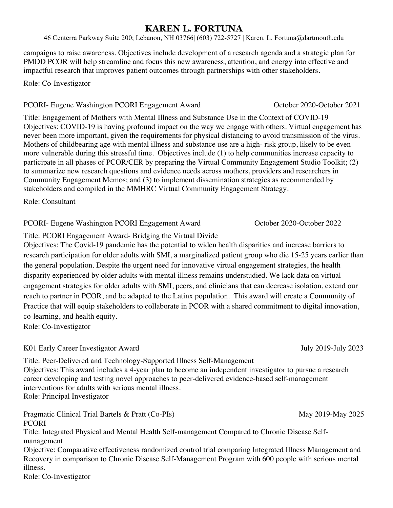46 Centerra Parkway Suite 200; Lebanon, NH 03766| (603) 722-5727 | Karen. L. Fortuna@dartmouth.edu

campaigns to raise awareness. Objectives include development of a research agenda and a strategic plan for PMDD PCOR will help streamline and focus this new awareness, attention, and energy into effective and impactful research that improves patient outcomes through partnerships with other stakeholders.

#### Role: Co-Investigator

#### PCORI- Eugene Washington PCORI Engagement Award October 2020-October 2021

Title: Engagement of Mothers with Mental Illness and Substance Use in the Context of COVID-19 Objectives: COVID-19 is having profound impact on the way we engage with others. Virtual engagement has never been more important, given the requirements for physical distancing to avoid transmission of the virus. Mothers of childbearing age with mental illness and substance use are a high- risk group, likely to be even more vulnerable during this stressful time. Objectives include (1) to help communities increase capacity to participate in all phases of PCOR/CER by preparing the Virtual Community Engagement Studio Toolkit; (2) to summarize new research questions and evidence needs across mothers, providers and researchers in Community Engagement Memos; and (3) to implement dissemination strategies as recommended by stakeholders and compiled in the MMHRC Virtual Community Engagement Strategy.

Role: Consultant

#### PCORI- Eugene Washington PCORI Engagement Award October 2020-October 2022

Title: PCORI Engagement Award- Bridging the Virtual Divide

Objectives: The Covid-19 pandemic has the potential to widen health disparities and increase barriers to research participation for older adults with SMI, a marginalized patient group who die 15-25 years earlier than the general population. Despite the urgent need for innovative virtual engagement strategies, the health disparity experienced by older adults with mental illness remains understudied. We lack data on virtual engagement strategies for older adults with SMI, peers, and clinicians that can decrease isolation, extend our reach to partner in PCOR, and be adapted to the Latinx population. This award will create a Community of Practice that will equip stakeholders to collaborate in PCOR with a shared commitment to digital innovation, co-learning, and health equity.

Role: Co-Investigator

#### K01 Early Career Investigator Award July 2019-July 2023

Title: Peer-Delivered and Technology-Supported Illness Self-Management Objectives: This award includes a 4-year plan to become an independent investigator to pursue a research career developing and testing novel approaches to peer-delivered evidence-based self-management interventions for adults with serious mental illness. Role: Principal Investigator

Pragmatic Clinical Trial Bartels & Pratt (Co-PIs) May 2019-May 2025 PCORI

Title: Integrated Physical and Mental Health Self-management Compared to Chronic Disease Selfmanagement

Objective: Comparative effectiveness randomized control trial comparing Integrated Illness Management and Recovery in comparison to Chronic Disease Self-Management Program with 600 people with serious mental illness.

Role: Co-Investigator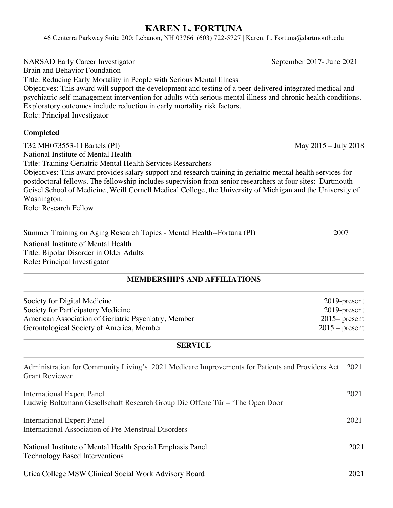46 Centerra Parkway Suite 200; Lebanon, NH 03766| (603) 722-5727 | Karen. L. Fortuna@dartmouth.edu

NARSAD Early Career Investigator September 2017- June 2021 Brain and Behavior Foundation Title: Reducing Early Mortality in People with Serious Mental Illness Objectives: This award will support the development and testing of a peer-delivered integrated medical and psychiatric self-management intervention for adults with serious mental illness and chronic health conditions. Exploratory outcomes include reduction in early mortality risk factors. Role: Principal Investigator

#### **Completed**

T32 MH073553-11 Bartels (PI) May 2015 – July 2018 National Institute of Mental Health Title: Training Geriatric Mental Health Services Researchers Objectives: This award provides salary support and research training in geriatric mental health services for postdoctoral fellows. The fellowship includes supervision from senior researchers at four sites: Dartmouth Geisel School of Medicine, Weill Cornell Medical College, the University of Michigan and the University of Washington. Role: Research Fellow

Summer Training on Aging Research Topics - Mental Health--Fortuna (PI) 2007 National Institute of Mental Health Title: Bipolar Disorder in Older Adults Role**:** Principal Investigator

## **MEMBERSHIPS AND AFFILIATIONS**

| Society for Digital Medicine                         | $2019$ -present  |
|------------------------------------------------------|------------------|
| Society for Participatory Medicine                   | 2019-present     |
| American Association of Geriatric Psychiatry, Member | $2015$ present   |
| Gerontological Society of America, Member            | $2015$ – present |
|                                                      |                  |

#### **SERVICE**

| Administration for Community Living's 2021 Medicare Improvements for Patients and Providers Act 2021<br><b>Grant Reviewer</b> |      |
|-------------------------------------------------------------------------------------------------------------------------------|------|
| <b>International Expert Panel</b><br>Ludwig Boltzmann Gesellschaft Research Group Die Offene Tür – 'The Open Door             | 2021 |
| <b>International Expert Panel</b><br>International Association of Pre-Menstrual Disorders                                     | 2021 |
| National Institute of Mental Health Special Emphasis Panel<br><b>Technology Based Interventions</b>                           | 2021 |
| Utica College MSW Clinical Social Work Advisory Board                                                                         | 2021 |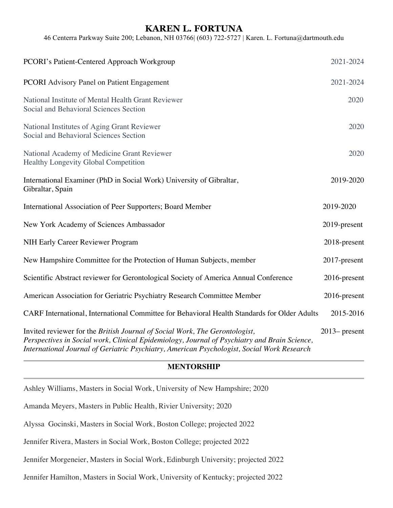46 Centerra Parkway Suite 200; Lebanon, NH 03766| (603) 722-5727 | Karen. L. Fortuna@dartmouth.edu

| PCORI's Patient-Centered Approach Workgroup                                                                                                                                                                                                                               | 2021-2024        |
|---------------------------------------------------------------------------------------------------------------------------------------------------------------------------------------------------------------------------------------------------------------------------|------------------|
| <b>PCORI</b> Advisory Panel on Patient Engagement                                                                                                                                                                                                                         | 2021-2024        |
| National Institute of Mental Health Grant Reviewer<br>Social and Behavioral Sciences Section                                                                                                                                                                              | 2020             |
| National Institutes of Aging Grant Reviewer<br>Social and Behavioral Sciences Section                                                                                                                                                                                     | 2020             |
| National Academy of Medicine Grant Reviewer<br><b>Healthy Longevity Global Competition</b>                                                                                                                                                                                | 2020             |
| International Examiner (PhD in Social Work) University of Gibraltar,<br>Gibraltar, Spain                                                                                                                                                                                  | 2019-2020        |
| International Association of Peer Supporters; Board Member                                                                                                                                                                                                                | 2019-2020        |
| New York Academy of Sciences Ambassador                                                                                                                                                                                                                                   | 2019-present     |
| NIH Early Career Reviewer Program                                                                                                                                                                                                                                         | 2018-present     |
| New Hampshire Committee for the Protection of Human Subjects, member                                                                                                                                                                                                      | 2017-present     |
| Scientific Abstract reviewer for Gerontological Society of America Annual Conference                                                                                                                                                                                      | 2016-present     |
| American Association for Geriatric Psychiatry Research Committee Member                                                                                                                                                                                                   | 2016-present     |
| CARF International, International Committee for Behavioral Health Standards for Older Adults                                                                                                                                                                              | 2015-2016        |
| Invited reviewer for the British Journal of Social Work, The Gerontologist,<br>Perspectives in Social work, Clinical Epidemiology, Journal of Psychiatry and Brain Science,<br>International Journal of Geriatric Psychiatry, American Psychologist, Social Work Research | $2013$ - present |

#### **MENTORSHIP**

Ashley Williams, Masters in Social Work, University of New Hampshire; 2020

Amanda Meyers, Masters in Public Health, Rivier University; 2020

Alyssa Gocinski, Masters in Social Work, Boston College; projected 2022

Jennifer Rivera, Masters in Social Work, Boston College; projected 2022

Jennifer Morgeneier, Masters in Social Work, Edinburgh University; projected 2022

Jennifer Hamilton, Masters in Social Work, University of Kentucky; projected 2022